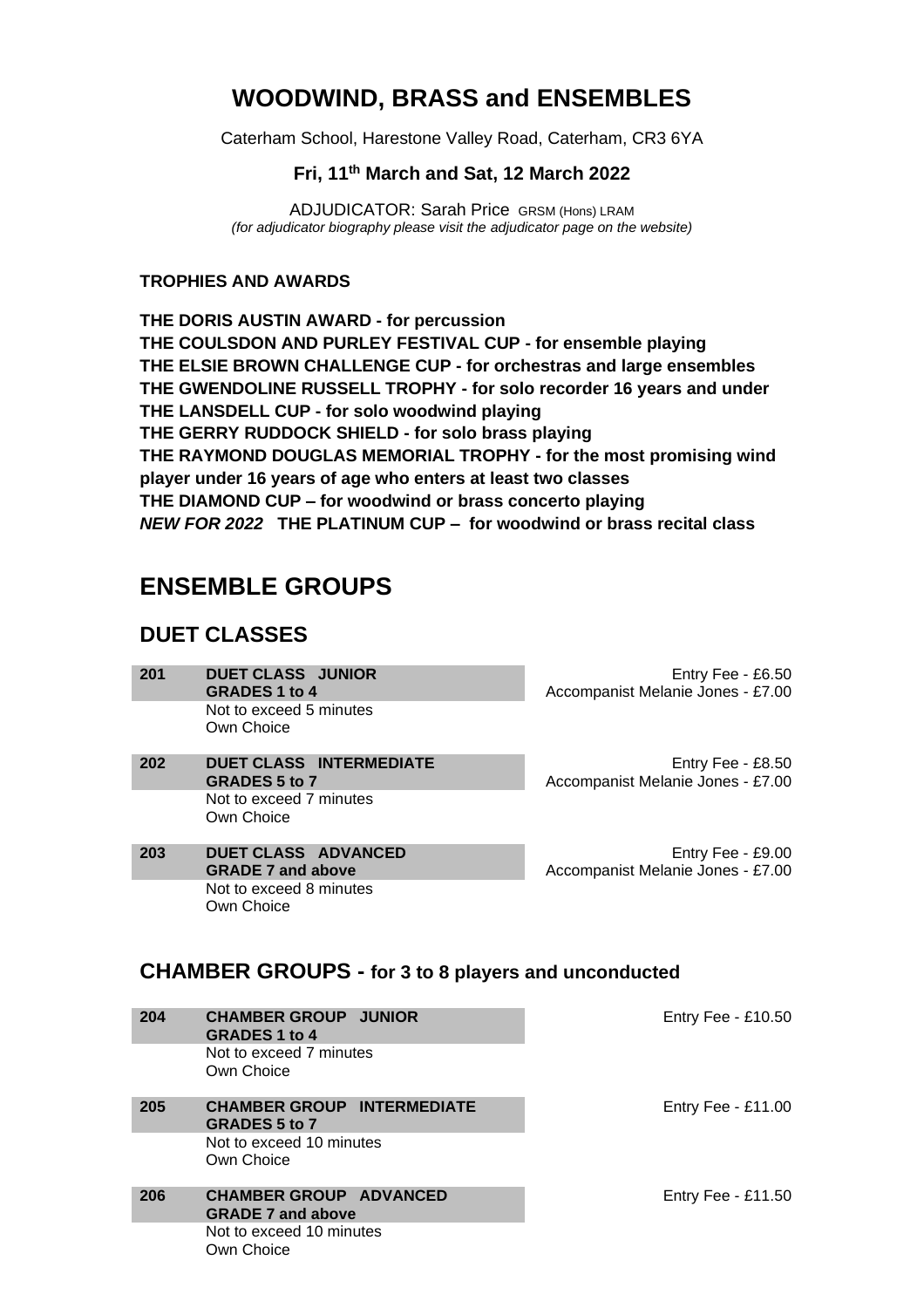# **WOODWIND, BRASS and ENSEMBLES**

Caterham School, Harestone Valley Road, Caterham, CR3 6YA

### **Fri, 11th March and Sat, 12 March 2022**

ADJUDICATOR: Sarah Price GRSM (Hons) LRAM *(for adjudicator biography please visit the adjudicator page on the website)*

#### **TROPHIES AND AWARDS**

**THE DORIS AUSTIN AWARD - for percussion THE COULSDON AND PURLEY FESTIVAL CUP - for ensemble playing THE ELSIE BROWN CHALLENGE CUP - for orchestras and large ensembles THE GWENDOLINE RUSSELL TROPHY - for solo recorder 16 years and under THE LANSDELL CUP - for solo woodwind playing THE GERRY RUDDOCK SHIELD - for solo brass playing THE RAYMOND DOUGLAS MEMORIAL TROPHY - for the most promising wind player under 16 years of age who enters at least two classes THE DIAMOND CUP – for woodwind or brass concerto playing** *NEW FOR 2022* **THE PLATINUM CUP – for woodwind or brass recital class**

## **ENSEMBLE GROUPS**

## **DUET CLASSES**

- **201 DUET CLASS JUNIOR GRADES 1 to 4**  Entry Fee - £6.50 Accompanist Melanie Jones - £7.00 Not to exceed 5 minutes Own Choice
- **202 DUET CLASS INTERMEDIATE GRADES 5 to 7** Not to exceed 7 minutes Own Choice
- **203 DUET CLASS ADVANCED GRADE 7 and above** Not to exceed 8 minutes Own Choice

Entry Fee - £8.50 Accompanist Melanie Jones - £7.00

Entry Fee - £9.00 Accompanist Melanie Jones - £7.00

### **CHAMBER GROUPS - for 3 to 8 players and unconducted**

| 204 | <b>CHAMBER GROUP JUNIOR</b><br><b>GRADES 1 to 4</b>       |  | Entry Fee - $£10.50$ |
|-----|-----------------------------------------------------------|--|----------------------|
|     | Not to exceed 7 minutes<br>Own Choice                     |  |                      |
| 205 | <b>CHAMBER GROUP INTERMEDIATE</b><br><b>GRADES 5 to 7</b> |  | Entry Fee - $£11.00$ |
|     | Not to exceed 10 minutes<br>Own Choice                    |  |                      |
| 206 | <b>CHAMBER GROUP ADVANCED</b><br><b>GRADE 7 and above</b> |  | Entry Fee - $£11.50$ |
|     | Not to exceed 10 minutes<br>Own Choice                    |  |                      |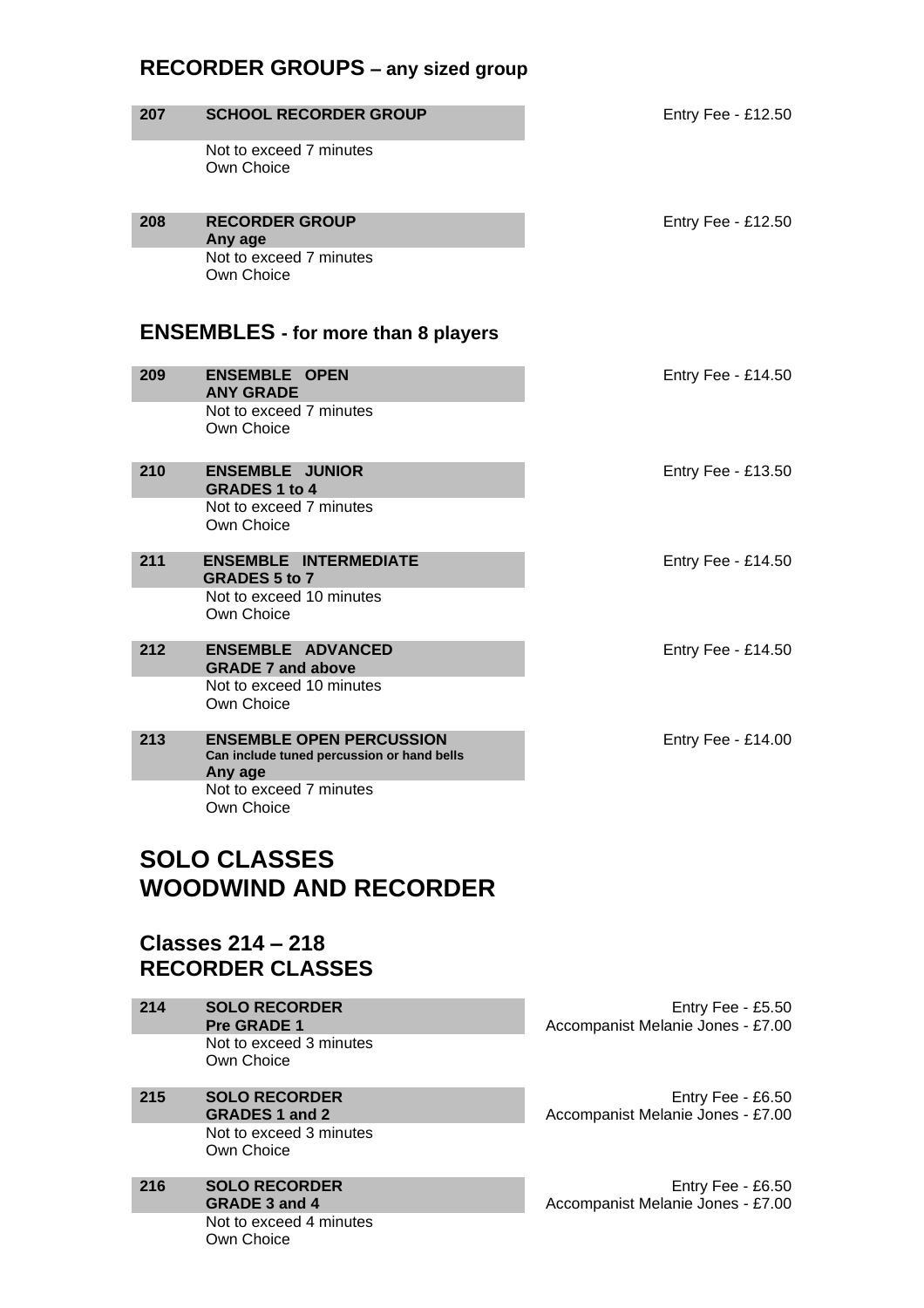## **RECORDER GROUPS – any sized group**

| 207                                                 | <b>SCHOOL RECORDER GROUP</b>                                                             |  | Entry Fee - £12.50 |
|-----------------------------------------------------|------------------------------------------------------------------------------------------|--|--------------------|
|                                                     | Not to exceed 7 minutes<br>Own Choice                                                    |  |                    |
| 208                                                 | <b>RECORDER GROUP</b><br>Any age                                                         |  | Entry Fee - £12.50 |
|                                                     | Not to exceed 7 minutes<br>Own Choice                                                    |  |                    |
|                                                     | <b>ENSEMBLES</b> - for more than 8 players                                               |  |                    |
| 209                                                 | <b>ENSEMBLE OPEN</b><br><b>ANY GRADE</b>                                                 |  | Entry Fee - £14.50 |
|                                                     | Not to exceed 7 minutes<br>Own Choice                                                    |  |                    |
| 210                                                 | <b>ENSEMBLE JUNIOR</b><br><b>GRADES 1 to 4</b>                                           |  | Entry Fee - £13.50 |
|                                                     | Not to exceed 7 minutes<br>Own Choice                                                    |  |                    |
| 211                                                 | <b>ENSEMBLE INTERMEDIATE</b><br><b>GRADES 5 to 7</b>                                     |  | Entry Fee - £14.50 |
|                                                     | Not to exceed 10 minutes<br>Own Choice                                                   |  |                    |
| 212                                                 | <b>ENSEMBLE ADVANCED</b><br><b>GRADE 7 and above</b>                                     |  | Entry Fee - £14.50 |
|                                                     | Not to exceed 10 minutes<br>Own Choice                                                   |  |                    |
| 213                                                 | <b>ENSEMBLE OPEN PERCUSSION</b><br>Can include tuned percussion or hand bells<br>Any age |  | Entry Fee - £14.00 |
|                                                     | Not to exceed 7 minutes<br>Own Choice                                                    |  |                    |
| <b>SOLO CLASSES</b><br><b>WOODWIND AND RECORDER</b> |                                                                                          |  |                    |

## **Classes 214 – 218 RECORDER CLASSES**

| 214 | <b>SOLO RECORDER</b><br><b>Pre GRADE 1</b> |
|-----|--------------------------------------------|
|     | Not to exceed 3 minutes<br>Own Choice      |
| 215 | <b>SOLO RECORDER</b>                       |

#### **GRADES 1 and 2** Not to exceed 3 minutes Own Choice

**216 SOLO RECORDER GRADE 3 and 4** Not to exceed 4 minutes Own Choice

Entry Fee - £5.50 Accompanist Melanie Jones - £7.00

Entry Fee - £6.50 Accompanist Melanie Jones - £7.00

Entry Fee - £6.50 Accompanist Melanie Jones - £7.00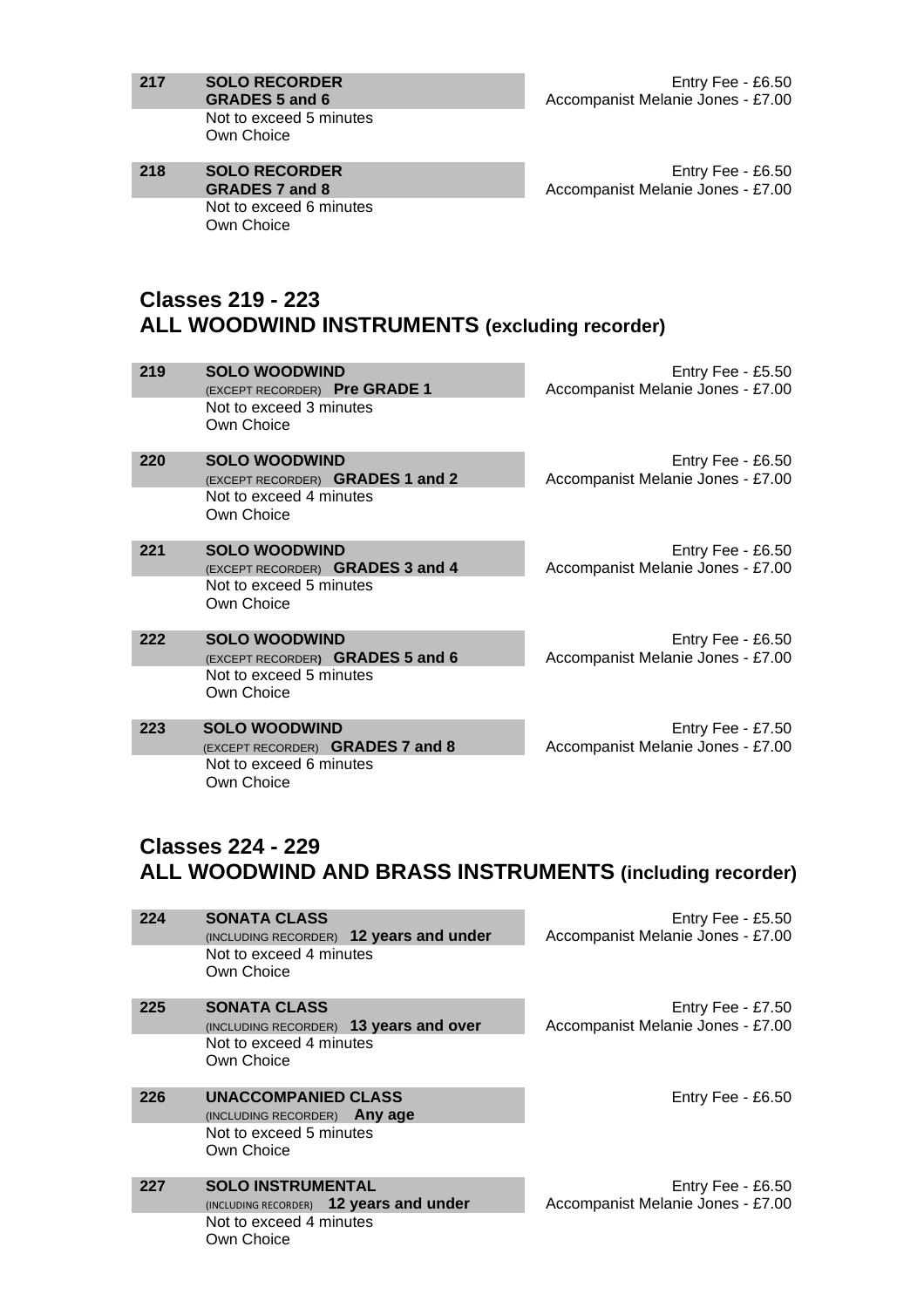**217 SOLO RECORDER GRADES 5 and 6** Not to exceed 5 minutes Own Choice

**218 SOLO RECORDER GRADES 7 and 8** Not to exceed 6 minutes Own Choice

Entry Fee - £6.50 Accompanist Melanie Jones - £7.00

Entry Fee - £6.50 Accompanist Melanie Jones - £7.00

## **Classes 219 - 223 ALL WOODWIND INSTRUMENTS (excluding recorder)**

| 219 | <b>SOLO WOODWIND</b><br>(EXCEPT RECORDER) Pre GRADE 1<br>Not to exceed 3 minutes<br>Own Choice    | Entry Fee - $£5.50$<br>Accompanist Melanie Jones - £7.00 |
|-----|---------------------------------------------------------------------------------------------------|----------------------------------------------------------|
| 220 | <b>SOLO WOODWIND</b><br>(EXCEPT RECORDER) GRADES 1 and 2<br>Not to exceed 4 minutes<br>Own Choice | Entry Fee - £6.50<br>Accompanist Melanie Jones - £7.00   |
| 221 | <b>SOLO WOODWIND</b><br>(EXCEPT RECORDER) GRADES 3 and 4<br>Not to exceed 5 minutes<br>Own Choice | Entry Fee - $£6.50$<br>Accompanist Melanie Jones - £7.00 |
| 222 | <b>SOLO WOODWIND</b><br>(EXCEPT RECORDER) GRADES 5 and 6<br>Not to exceed 5 minutes<br>Own Choice | Entry Fee - $£6.50$<br>Accompanist Melanie Jones - £7.00 |
| 223 | <b>SOLO WOODWIND</b><br>(EXCEPT RECORDER) GRADES 7 and 8<br>Not to exceed 6 minutes<br>Own Choice | Entry Fee - £7.50<br>Accompanist Melanie Jones - £7.00   |

### **Classes 224 - 229 ALL WOODWIND AND BRASS INSTRUMENTS (including recorder)**

| 224 | <b>SONATA CLASS</b><br>$(INCLUDING RECORDER)$ 12 years and under<br>Not to exceed 4 minutes<br>Own Choice    | Entry Fee - $£5.50$<br>Accompanist Melanie Jones - £7.00 |
|-----|--------------------------------------------------------------------------------------------------------------|----------------------------------------------------------|
| 225 | <b>SONATA CLASS</b><br>(INCLUDING RECORDER) 13 years and over<br>Not to exceed 4 minutes<br>Own Choice       | Entry Fee - £7.50<br>Accompanist Melanie Jones - £7.00   |
| 226 | <b>UNACCOMPANIED CLASS</b><br>(INCLUDING RECORDER) Any age<br>Not to exceed 5 minutes<br>Own Choice          | Entry Fee - $£6.50$                                      |
| 227 | <b>SOLO INSTRUMENTAL</b><br>(INCLUDING RECORDER) 12 years and under<br>Not to exceed 4 minutes<br>Own Choice | Entry Fee - £6.50<br>Accompanist Melanie Jones - £7.00   |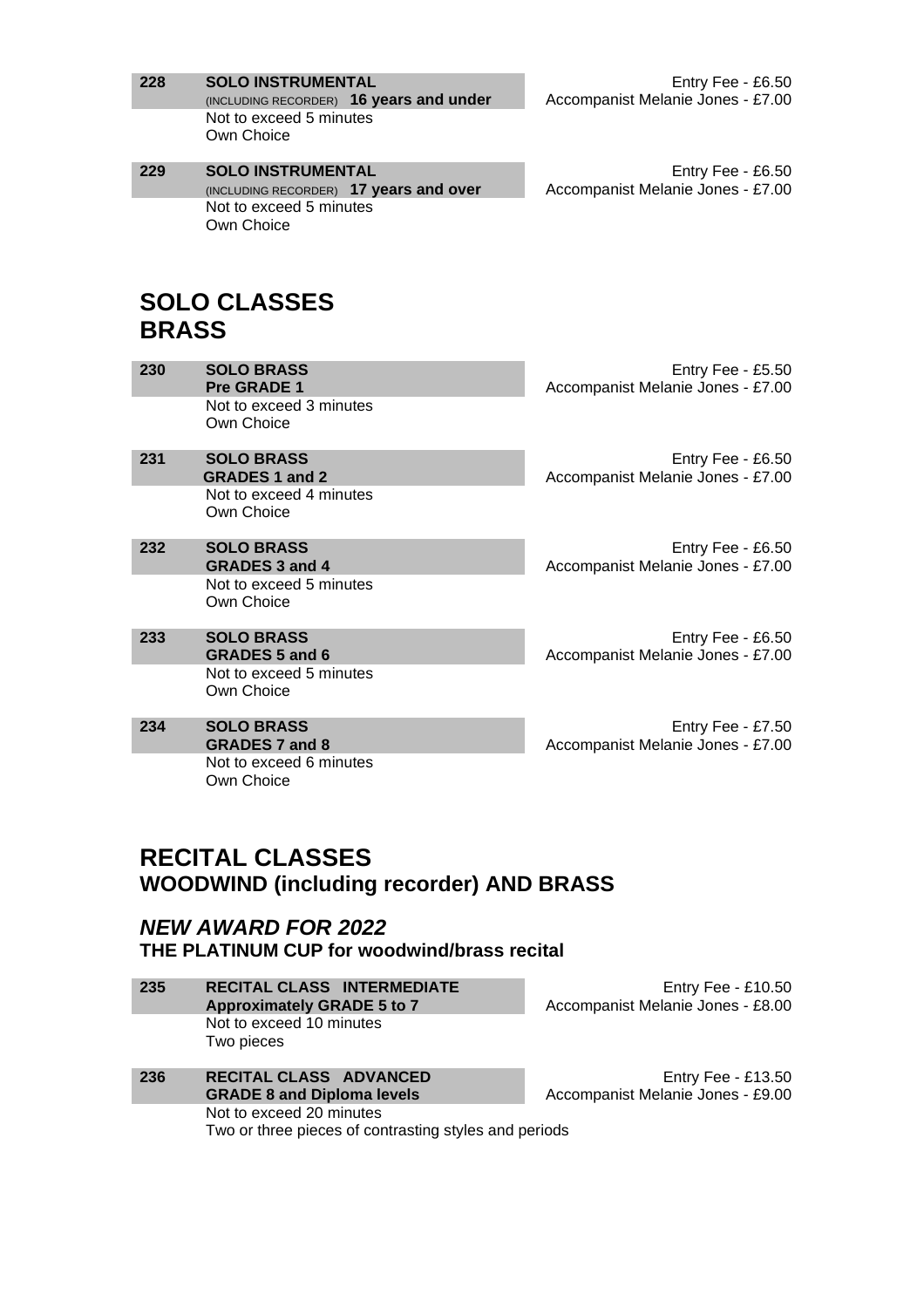| 228          | <b>SOLO INSTRUMENTAL</b><br>(INCLUDING RECORDER) 16 years and under<br>Not to exceed 5 minutes<br>Own Choice                       | Entry Fee - £6.50<br>Accompanist Melanie Jones - £7.00 |
|--------------|------------------------------------------------------------------------------------------------------------------------------------|--------------------------------------------------------|
| 229          | <b>SOLO INSTRUMENTAL</b><br>(INCLUDING RECORDER) 17 years and over<br>Not to exceed 5 minutes<br>Own Choice<br><b>SOLO CLASSES</b> | Entry Fee - £6.50<br>Accompanist Melanie Jones - £7.00 |
| <b>BRASS</b> |                                                                                                                                    |                                                        |
| 230          | <b>SOLO BRASS</b><br>Pre GRADE 1                                                                                                   | Entry Fee - £5.50<br>Accompanist Melanie Jones - £7.00 |
|              | Not to exceed 3 minutes<br>Own Choice                                                                                              |                                                        |
| 231          | <b>SOLO BRASS</b><br><b>GRADES 1 and 2</b><br>Not to exceed 4 minutes<br>Own Choice                                                | Entry Fee - £6.50<br>Accompanist Melanie Jones - £7.00 |
| 232          | <b>SOLO BRASS</b><br><b>GRADES 3 and 4</b>                                                                                         | Entry Fee - £6.50<br>Accompanist Melanie Jones - £7.00 |
|              | Not to exceed 5 minutes<br>Own Choice                                                                                              |                                                        |
| 233          | <b>SOLO BRASS</b><br><b>GRADES 5 and 6</b>                                                                                         | Entry Fee - £6.50<br>Accompanist Melanie Jones - £7.00 |
|              | Not to exceed 5 minutes<br>Own Choice                                                                                              |                                                        |
| 234          | <b>SOLO BRASS</b><br><b>GRADES 7 and 8</b>                                                                                         | Entry Fee - £7.50<br>Accompanist Melanie Jones - £7.00 |
|              | Not to exceed 6 minutes<br>Own Choice                                                                                              |                                                        |

## **RECITAL CLASSES WOODWIND (including recorder) AND BRASS**

### *NEW AWARD FOR 2022* **THE PLATINUM CUP for woodwind/brass recital**

| -235 | <b>RECITAL CLASS INTERMEDIATE</b><br><b>Approximately GRADE 5 to 7</b> |
|------|------------------------------------------------------------------------|
|      | Not to exceed 10 minutes<br>Two pieces                                 |

| 236 | <b>RECITAL CLASS ADVANCED</b><br><b>GRADE 8 and Diploma levels</b> | Acco |
|-----|--------------------------------------------------------------------|------|
|     | Not to exceed 20 minutes                                           |      |
|     | Two or three pieces of contrasting styles and periods              |      |

Entry Fee - £10.50 Accompanist Melanie Jones - £8.00

Entry Fee - £13.50 ompanist Melanie Jones - £9.00